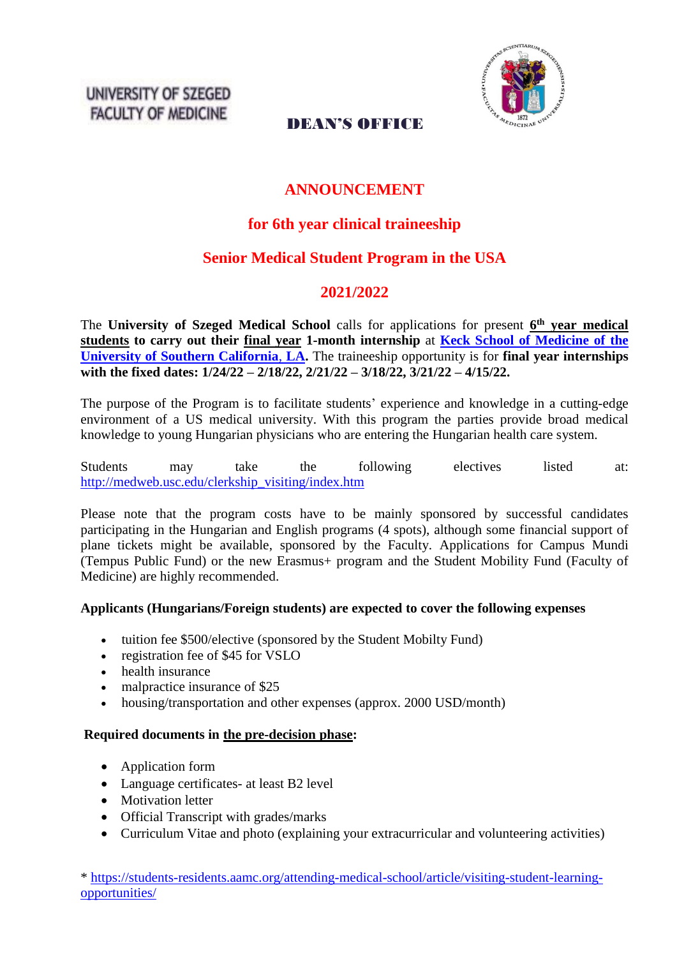UNIVERSITY OF SZEGED **FACULTY OF MEDICINE** 



## DEAN'S OFFICE

# **ANNOUNCEMENT**

## **for 6th year clinical traineeship**

# **Senior Medical Student Program in the USA**

## **2021/2022**

The **University of Szeged Medical School** calls for applications for present **6 th year medical students to carry out their final year 1-month internship** at **[Keck School of Medicine of the](https://keck.usc.edu/education/md-program/student-affairs/visiting-student-clerkships/international-applicants/)  [University of Southern California](https://keck.usc.edu/education/md-program/student-affairs/visiting-student-clerkships/international-applicants/)**, **LA.** The traineeship opportunity is for **final year internships with the fixed dates: 1/24/22 – 2/18/22, 2/21/22 – 3/18/22, 3/21/22 – 4/15/22.**

The purpose of the Program is to facilitate students' experience and knowledge in a cutting-edge environment of a US medical university. With this program the parties provide broad medical knowledge to young Hungarian physicians who are entering the Hungarian health care system.

Students may take the following electives listed at: [http://medweb.usc.edu/clerkship\\_visiting/index.htm](http://medweb.usc.edu/clerkship_visiting/index.htm)

Please note that the program costs have to be mainly sponsored by successful candidates participating in the Hungarian and English programs (4 spots), although some financial support of plane tickets might be available, sponsored by the Faculty. Applications for Campus Mundi (Tempus Public Fund) or the new Erasmus+ program and the Student Mobility Fund (Faculty of Medicine) are highly recommended.

### **Applicants (Hungarians/Foreign students) are expected to cover the following expenses**

- tuition fee \$500/elective (sponsored by the Student Mobilty Fund)
- registration fee of \$45 for  $VSIO$
- health insurance
- malpractice insurance of \$25
- housing/transportation and other expenses (approx. 2000 USD/month)

#### **Required documents in the pre-decision phase:**

- Application form
- Language certificates- at least B2 level
- Motivation letter
- Official Transcript with grades/marks
- Curriculum Vitae and photo (explaining your extracurricular and volunteering activities)

\* [https://students-residents.aamc.org/attending-medical-school/article/visiting-student-learning](https://students-residents.aamc.org/attending-medical-school/article/visiting-student-learning-opportunities/)[opportunities/](https://students-residents.aamc.org/attending-medical-school/article/visiting-student-learning-opportunities/)